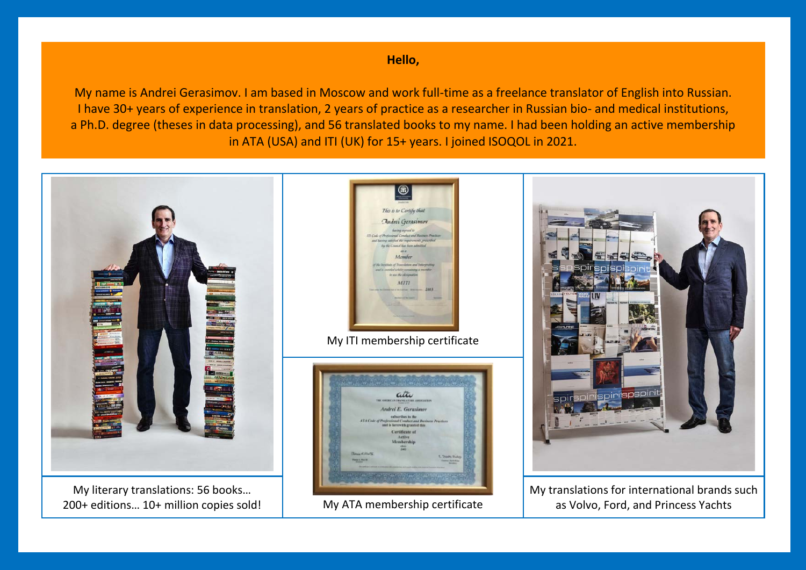**Hello,**

My name is Andrei Gerasimov. I am based in Moscow and work full-time as a freelance translator of English into Russian. I have 30+ years of experience in translation, 2 years of practice as a researcher in Russian bio- and medical institutions, a Ph.D. degree (theses in data processing), and 56 translated books to my name. I had been holding an active membership in ATA (USA) and ITI (UK) for 15+ years. I joined ISOQOL in 2021.



My literary translations: 56 books… 200+ editions… 10+ million copies sold!





My translations for international brands such as Volvo, Ford, and Princess Yachts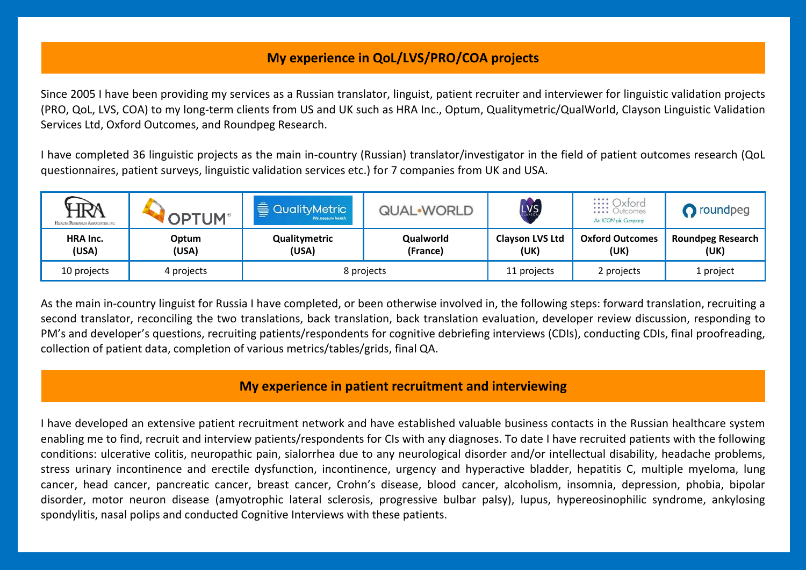## **My experience in QoL/LVS/PRO/COA projects**

Since 2005 I have been providing my services as a Russian translator, linguist, patient recruiter and interviewer for linguistic validation projects (PRO, QoL, LVS, COA) to my long-term clients from US and UK such as HRA Inc., Optum, Qualitymetric/QualWorld, Clayson Linguistic Validation Services Ltd, Oxford Outcomes, and Roundpeg Research.

I have completed 36 linguistic projects as the main in-country (Russian) translator/investigator in the field of patient outcomes research (QoL questionnaires, patient surveys, linguistic validation services etc.) for 7 companies from UK and USA.

| HRA<br>HEALTH RESEARCH ASSOCIATES, INC. | <b>PTUM</b>    | ₿.<br><b>QualityMetric</b><br>We measure health. | QUAL-WORLD            | LVS                            | <b>:::: Oxford</b><br>:::: Outcomes<br>An ICON plc Company | proundpeg                        |
|-----------------------------------------|----------------|--------------------------------------------------|-----------------------|--------------------------------|------------------------------------------------------------|----------------------------------|
| HRA Inc.<br>(USA)                       | Optum<br>(USA) | Qualitymetric<br>(USA)                           | Qualworld<br>(France) | <b>Clayson LVS Ltd</b><br>(UK) | <b>Oxford Outcomes</b><br>(UK)                             | <b>Roundpeg Research</b><br>(UK) |
| 10 projects                             | 4 projects     | 8 projects                                       |                       | 11 projects                    | 2 projects                                                 | 1 project                        |

As the main in-country linguist for Russia I have completed, or been otherwise involved in, the following steps: forward translation, recruiting a second translator, reconciling the two translations, back translation, back translation evaluation, developer review discussion, responding to PM's and developer's questions, recruiting patients/respondents for cognitive debriefing interviews (CDIs), conducting CDIs, final proofreading, collection of patient data, completion of various metrics/tables/grids, final QA.

## **My experience in patient recruitment and interviewing**

I have developed an extensive patient recruitment network and have established valuable business contacts in the Russian healthcare system enabling me to find, recruit and interview patients/respondents for CIs with any diagnoses. To date I have recruited patients with the following conditions: ulcerative colitis, neuropathic pain, sialorrhea due to any neurological disorder and/or intellectual disability, headache problems, stress urinary incontinence and erectile dysfunction, incontinence, urgency and hyperactive bladder, hepatitis C, multiple myeloma, lung cancer, head cancer, pancreatic cancer, breast cancer, Crohn's disease, blood cancer, alcoholism, insomnia, depression, phobia, bipolar disorder, motor neuron disease (amyotrophic lateral sclerosis, progressive bulbar palsy), lupus, hypereosinophilic syndrome, ankylosing spondylitis, nasal polips and conducted Cognitive Interviews with these patients.